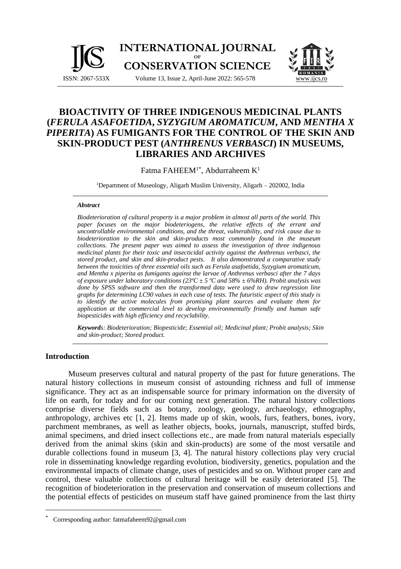

# **BIOACTIVITY OF THREE INDIGENOUS MEDICINAL PLANTS (***FERULA ASAFOETIDA***,** *SYZYGIUM AROMATICUM***, AND** *MENTHA X PIPERITA***) AS FUMIGANTS FOR THE CONTROL OF THE SKIN AND SKIN-PRODUCT PEST (***ANTHRENUS VERBASCI***) IN MUSEUMS, LIBRARIES AND ARCHIVES**

Fatma FAHEEM<sup>1\*</sup>, Abdurraheem K<sup>1</sup>

<sup>1</sup>Department of Museology, Aligarh Muslim University, Aligarh – 202002, India

#### *Abstract*

*Biodeterioration of cultural property is a major problem in almost all parts of the world. This paper focuses on the major biodeteriogens, the relative effects of the errant and uncontrollable environmental conditions, and the threat, vulnerability, and risk cause due to biodeterioration to the skin and skin-products most commonly found in the museum collections. The present paper was aimed to assess the investigation of three indigenous medicinal plants for their toxic and insecticidal activity against the Anthrenus verbasci, the stored product, and skin and skin-product pests. It also demonstrated a comparative study between the toxicities of three essential oils such as Ferula asafoetida, Syzygium aromaticum, and Mentha x piperita as fumigants against the larvae of Anthrenus verbasci after the 7 days of exposure under laboratory conditions (23ºC ± 5 ºC and 58% ± 6%RH). Probit analysis was done by SPSS software and then the transformed data were used to draw regression line graphs for determining LC90 values in each case of tests. The futuristic aspect of this study is to identify the active molecules from promising plant sources and evaluate them for application at the commercial level to develop environmentally friendly and human safe biopesticides with high efficiency and recyclability.*

*Keywords: Biodeterioration; Biopesticide; Essential oil; Medicinal plant; Probit analysis; Skin and skin-product; Stored product.*

#### **Introduction**

Museum preserves cultural and natural property of the past for future generations. The natural history collections in museum consist of astounding richness and full of immense significance. They act as an indispensable source for primary information on the diversity of life on earth, for today and for our coming next generation. The natural history collections comprise diverse fields such as botany, zoology, geology, archaeology, ethnography, anthropology, archives etc [1, 2]. Items made up of skin, wools, furs, feathers, bones, ivory, parchment membranes, as well as leather objects, books, journals, manuscript, stuffed birds, animal specimens, and dried insect collections etc., are made from natural materials especially derived from the animal skins (skin and skin-products) are some of the most versatile and durable collections found in museum [3, 4]. The natural history collections play very crucial role in disseminating knowledge regarding evolution, biodiversity, genetics, population and the environmental impacts of climate change, uses of pesticides and so on. Without proper care and control, these valuable collections of cultural heritage will be easily deteriorated [5]. The recognition of biodeterioration in the preservation and conservation of museum collections and the potential effects of pesticides on museum staff have gained prominence from the last thirty

Corresponding author: fatmafaheem92@gmail.com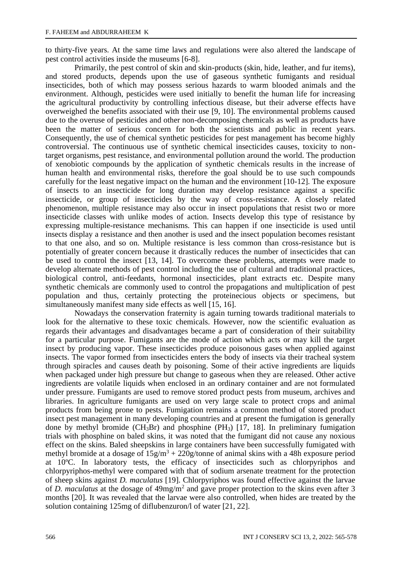to thirty-five years. At the same time laws and regulations were also altered the landscape of pest control activities inside the museums [6-8].

Primarily, the pest control of skin and skin-products (skin, hide, leather, and fur items), and stored products, depends upon the use of gaseous synthetic fumigants and residual insecticides, both of which may possess serious hazards to warm blooded animals and the environment. Although, pesticides were used initially to benefit the human life for increasing the agricultural productivity by controlling infectious disease, but their adverse effects have overweighed the benefits associated with their use [9, 10]. The environmental problems caused due to the overuse of pesticides and other non-decomposing chemicals as well as products have been the matter of serious concern for both the scientists and public in recent years. Consequently, the use of chemical synthetic pesticides for pest management has become highly controversial. The continuous use of synthetic chemical insecticides causes, toxicity to nontarget organisms, pest resistance, and environmental pollution around the world. The production of xenobiotic compounds by the application of synthetic chemicals results in the increase of human health and environmental risks, therefore the goal should be to use such compounds carefully for the least negative impact on the human and the environment [10-12]. The exposure of insects to an insecticide for long duration may develop resistance against a specific insecticide, or group of insecticides by the way of cross-resistance. A closely related phenomenon, multiple resistance may also occur in insect populations that resist two or more insecticide classes with unlike modes of action. Insects develop this type of resistance by expressing multiple-resistance mechanisms. This can happen if one insecticide is used until insects display a resistance and then another is used and the insect population becomes resistant to that one also, and so on. Multiple resistance is less common than cross-resistance but is potentially of greater concern because it drastically reduces the number of insecticides that can be used to control the insect [13, 14]. To overcome these problems, attempts were made to develop alternate methods of pest control including the use of cultural and traditional practices, biological control, anti-feedants, hormonal insecticides, plant extracts etc. Despite many synthetic chemicals are commonly used to control the propagations and multiplication of pest population and thus, certainly protecting the proteinecious objects or specimens, but simultaneously manifest many side effects as well [15, 16].

Nowadays the conservation fraternity is again turning towards traditional materials to look for the alternative to these toxic chemicals. However, now the scientific evaluation as regards their advantages and disadvantages became a part of consideration of their suitability for a particular purpose. Fumigants are the mode of action which acts or may kill the target insect by producing vapor. These insecticides produce poisonous gases when applied against insects. The vapor formed from insecticides enters the body of insects via their tracheal system through spiracles and causes death by poisoning. Some of their active ingredients are liquids when packaged under high pressure but change to gaseous when they are released. Other active ingredients are volatile liquids when enclosed in an ordinary container and are not formulated under pressure. Fumigants are used to remove stored product pests from museum, archives and libraries. In agriculture fumigants are used on very large scale to protect crops and animal products from being prone to pests. Fumigation remains a common method of stored product insect pest management in many developing countries and at present the fumigation is generally done by methyl bromide  $(CH_3Br)$  and phosphine (PH<sub>3</sub>) [17, 18]. In preliminary fumigation trials with phosphine on baled skins, it was noted that the fumigant did not cause any noxious effect on the skins. Baled sheepskins in large containers have been successfully fumigated with methyl bromide at a dosage of  $15g/m^3 + 220g/t$ onne of animal skins with a 48h exposure period at 10ºC. In laboratory tests, the efficacy of insecticides such as chlorpyriphos and chlorpyriphos-methyl were compared with that of sodium arsenate treatment for the protection of sheep skins against *D. maculatus* [19]. Chlorpyriphos was found effective against the larvae of *D. maculatus* at the dosage of 49mg/m<sup>2</sup> and gave proper protection to the skins even after 3 months [20]. It was revealed that the larvae were also controlled, when hides are treated by the solution containing 125mg of diflubenzuron/l of water [21, 22].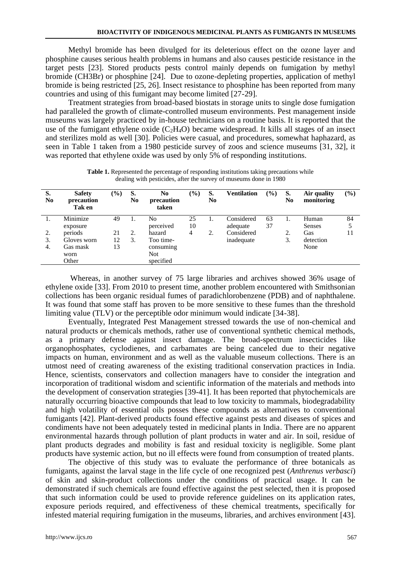Methyl bromide has been divulged for its deleterious effect on the ozone layer and phosphine causes serious health problems in humans and also causes pesticide resistance in the target pests [23]. Stored products pests control mainly depends on fumigation by methyl bromide (CH3Br) or phosphine [24]. Due to ozone-depleting properties, application of methyl bromide is being restricted [25, 26]. Insect resistance to phosphine has been reported from many countries and using of this fumigant may become limited [27-29].

Treatment strategies from broad-based biostats in storage units to single dose fumigation had paralleled the growth of climate-controlled museum environments. Pest management inside museums was largely practiced by in-house technicians on a routine basis. It is reported that the use of the fumigant ethylene oxide  $(C_2H_4O)$  became widespread. It kills all stages of an insect and sterilizes mold as well [30]. Policies were casual, and procedures, somewhat haphazard, as seen in Table 1 taken from a 1980 pesticide survey of zoos and science museums [31, 32], it was reported that ethylene oxide was used by only 5% of responding institutions.

| S.<br>No | <b>Safety</b><br>precaution<br>Tak en | $(\%)$ | S.<br>N <sub>0</sub> | No<br>precaution<br>taken | (%) | S.<br>N <sub>0</sub> | Ventilation | $\frac{9}{6}$ | S.<br>N <sub>0</sub> | Air quality<br>monitoring | $(\%)$ |
|----------|---------------------------------------|--------|----------------------|---------------------------|-----|----------------------|-------------|---------------|----------------------|---------------------------|--------|
|          | Minimize                              | 49     |                      | No                        | 25  |                      | Considered  | 63            |                      | Human                     | 84     |
|          | exposure                              |        |                      | perceived                 | 10  |                      | adequate    | 37            |                      | <b>Senses</b>             |        |
| 2.       | periods                               | 21     | 2.                   | hazard                    | 4   | 2.                   | Considered  |               | 2.                   | Gas                       | 11     |
| 3.       | Gloves worn                           | 12     | 3.                   | Too time-                 |     |                      | inadequate  |               | 3.                   | detection                 |        |
| 4.       | Gas mask                              | 13     |                      | consuming                 |     |                      |             |               |                      | None                      |        |
|          | worn                                  |        |                      | <b>Not</b>                |     |                      |             |               |                      |                           |        |
|          | Other                                 |        |                      | specified                 |     |                      |             |               |                      |                           |        |

**Table 1.** Represented the percentage of responding institutions taking precautions while dealing with pesticides, after the survey of museums done in 1980

Whereas, in another survey of 75 large libraries and archives showed 36% usage of ethylene oxide [33]. From 2010 to present time, another problem encountered with Smithsonian collections has been organic residual fumes of paradichlorobenzene (PDB) and of naphthalene. It was found that some staff has proven to be more sensitive to these fumes than the threshold limiting value (TLV) or the perceptible odor minimum would indicate [34-38].

Eventually, Integrated Pest Management stressed towards the use of non-chemical and natural products or chemicals methods, rather use of conventional synthetic chemical methods, as a primary defense against insect damage. The broad-spectrum insecticides like organophosphates, cyclodienes, and carbamates are being canceled due to their negative impacts on human, environment and as well as the valuable museum collections. There is an utmost need of creating awareness of the existing traditional conservation practices in India. Hence, scientists, conservators and collection managers have to consider the integration and incorporation of traditional wisdom and scientific information of the materials and methods into the development of conservation strategies [39-41]. It has been reported that phytochemicals are naturally occurring bioactive compounds that lead to low toxicity to mammals, biodegradability and high volatility of essential oils posses these compounds as alternatives to conventional fumigants [42]. Plant-derived products found effective against pests and diseases of spices and condiments have not been adequately tested in medicinal plants in India. There are no apparent environmental hazards through pollution of plant products in water and air. In soil, residue of plant products degrades and mobility is fast and residual toxicity is negligible. Some plant products have systemic action, but no ill effects were found from consumption of treated plants.

The objective of this study was to evaluate the performance of three botanicals as fumigants, against the larval stage in the life cycle of one recognized pest (*Anthrenus verbasci*) of skin and skin-product collections under the conditions of practical usage. It can be demonstrated if such chemicals are found effective against the pest selected, then it is proposed that such information could be used to provide reference guidelines on its application rates, exposure periods required, and effectiveness of these chemical treatments, specifically for infested material requiring fumigation in the museums, libraries, and archives environment [43].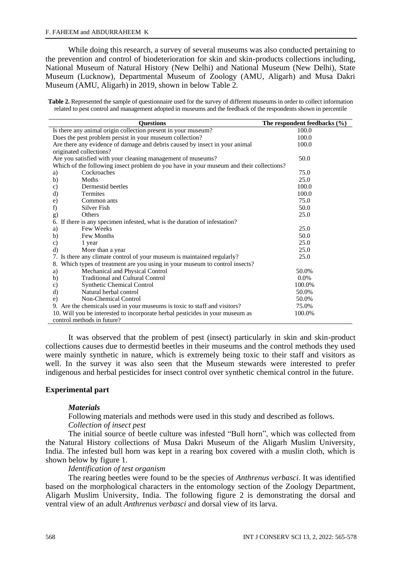While doing this research, a survey of several museums was also conducted pertaining to the prevention and control of biodeterioration for skin and skin-products collections including, National Museum of Natural History (New Delhi) and National Museum (New Delhi), State Museum (Lucknow), Departmental Museum of Zoology (AMU, Aligarh) and Musa Dakri Museum (AMU, Aligarh) in 2019, shown in below Table 2.

**Table 2.** Represented the sample of questionnaire used for the survey of different museums in order to collect information related to pest control and management adopted in museums and the feedback of the respondents shown in percentile

|                                                                                         | <b>Ouestions</b>                                                                        | The respondent feedbacks $(\% )$ |  |  |  |
|-----------------------------------------------------------------------------------------|-----------------------------------------------------------------------------------------|----------------------------------|--|--|--|
|                                                                                         | Is there any animal origin collection present in your museum?                           | 100.0                            |  |  |  |
|                                                                                         | Does the pest problem persist in your museum collection?                                | 100.0                            |  |  |  |
|                                                                                         | Are there any evidence of damage and debris caused by insect in your animal             | 100.0                            |  |  |  |
|                                                                                         | originated collections?                                                                 |                                  |  |  |  |
|                                                                                         | Are you satisfied with your cleaning management of museums?                             | 50.0                             |  |  |  |
|                                                                                         | Which of the following insect problem do you have in your museum and their collections? |                                  |  |  |  |
| a)                                                                                      | Cockroaches                                                                             | 75.0                             |  |  |  |
| b)                                                                                      | Moths                                                                                   | 25.0                             |  |  |  |
| $\mathbf{c})$                                                                           | Dermestid beetles                                                                       | 100.0                            |  |  |  |
| d)                                                                                      | <b>Termites</b>                                                                         | 100.0                            |  |  |  |
| e)                                                                                      | Common ants                                                                             | 75.0                             |  |  |  |
| f)                                                                                      | Silver Fish                                                                             | 50.0                             |  |  |  |
| g)                                                                                      | Others                                                                                  | 25.0                             |  |  |  |
|                                                                                         | 6. If there is any specimen infested, what is the duration of infestation?              |                                  |  |  |  |
| a)                                                                                      | Few Weeks                                                                               | 25.0                             |  |  |  |
| b)                                                                                      | Few Months                                                                              | 50.0                             |  |  |  |
| $\mathbf{c})$                                                                           | 1 year                                                                                  | 25.0                             |  |  |  |
| d)                                                                                      | More than a year                                                                        | 25.0                             |  |  |  |
|                                                                                         | 7. Is there any climate control of your museum is maintained regularly?                 | 25.0                             |  |  |  |
| 8.                                                                                      | Which types of treatment are you using in your museum to control insects?               |                                  |  |  |  |
| a)                                                                                      | Mechanical and Physical Control                                                         | 50.0%                            |  |  |  |
| b)                                                                                      | <b>Traditional and Cultural Control</b>                                                 | $0.0\%$                          |  |  |  |
| c)                                                                                      | <b>Synthetic Chemical Control</b>                                                       | 100.0%                           |  |  |  |
| $\mathbf{d}$                                                                            | Natural herbal control                                                                  | 50.0%                            |  |  |  |
| $\epsilon$ )                                                                            | Non-Chemical Control                                                                    | 50.0%                            |  |  |  |
| 9. Are the chemicals used in your museums is toxic to staff and visitors?               | 75.0%                                                                                   |                                  |  |  |  |
| 10. Will you be interested to incorporate herbal pesticides in your museum as<br>100.0% |                                                                                         |                                  |  |  |  |
|                                                                                         | control methods in future?                                                              |                                  |  |  |  |

It was observed that the problem of pest (insect) particularly in skin and skin-product collections causes due to dermestid beetles in their museums and the control methods they used were mainly synthetic in nature, which is extremely being toxic to their staff and visitors as well. In the survey it was also seen that the Museum stewards were interested to prefer indigenous and herbal pesticides for insect control over synthetic chemical control in the future.

# **Experimental part**

### *Materials*

Following materials and methods were used in this study and described as follows. *Collection of insect pest*

The initial source of beetle culture was infested "Bull horn", which was collected from the Natural History collections of Musa Dakri Museum of the Aligarh Muslim University, India. The infested bull horn was kept in a rearing box covered with a muslin cloth, which is shown below by figure 1.

### *Identification of test organism*

The rearing beetles were found to be the species of *Anthrenus verbasci*. It was identified based on the morphological characters in the entomology section of the Zoology Department, Aligarh Muslim University, India. The following figure 2 is demonstrating the dorsal and ventral view of an adult *Anthrenus verbasci* and dorsal view of its larva.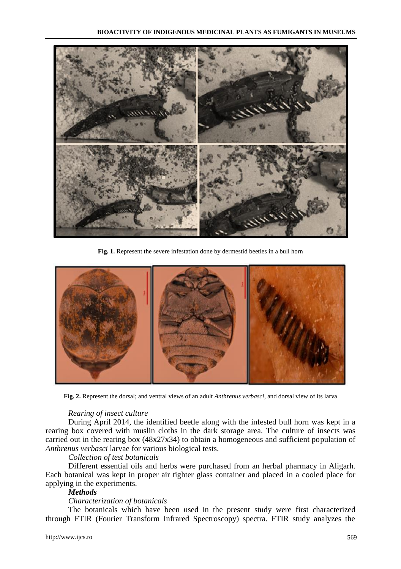

**Fig. 1.** Represent the severe infestation done by dermestid beetles in a bull horn



**Fig. 2.** Represent the dorsal; and ventral views of an adult *Anthrenus verbasci*, and dorsal view of its larva

#### *Rearing of insect culture*

During April 2014, the identified beetle along with the infested bull horn was kept in a rearing box covered with muslin cloths in the dark storage area. The culture of insects was carried out in the rearing box (48x27x34) to obtain a homogeneous and sufficient population of *Anthrenus verbasci* larvae for various biological tests.

#### *Collection of test botanicals*

Different essential oils and herbs were purchased from an herbal pharmacy in Aligarh. Each botanical was kept in proper air tighter glass container and placed in a cooled place for applying in the experiments.

# *Methods*

#### *Characterization of botanicals*

The botanicals which have been used in the present study were first characterized through FTIR (Fourier Transform Infrared Spectroscopy) spectra. FTIR study analyzes the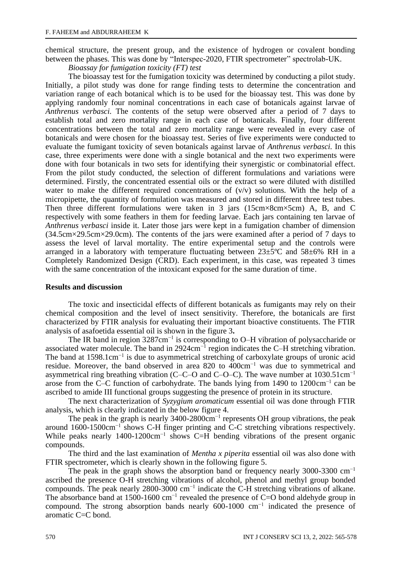chemical structure, the present group, and the existence of hydrogen or covalent bonding between the phases. This was done by "Interspec-2020, FTIR spectrometer" spectrolab-UK.

*Bioassay for fumigation toxicity (FT) test*

The bioassay test for the fumigation toxicity was determined by conducting a pilot study. Initially, a pilot study was done for range finding tests to determine the concentration and variation range of each botanical which is to be used for the bioassay test. This was done by applying randomly four nominal concentrations in each case of botanicals against larvae of *Anthrenus verbasci.* The contents of the setup were observed after a period of 7 days to establish total and zero mortality range in each case of botanicals. Finally, four different concentrations between the total and zero mortality range were revealed in every case of botanicals and were chosen for the bioassay test. Series of five experiments were conducted to evaluate the fumigant toxicity of seven botanicals against larvae of *Anthrenus verbasci.* In this case, three experiments were done with a single botanical and the next two experiments were done with four botanicals in two sets for identifying their synergistic or combinatorial effect. From the pilot study conducted, the selection of different formulations and variations were determined. Firstly, the concentrated essential oils or the extract so were diluted with distilled water to make the different required concentrations of  $(v/v)$  solutions. With the help of a micropipette, the quantity of formulation was measured and stored in different three test tubes. Then three different formulations were taken in 3 jars (15cm×8cm×5cm) A, B, and C respectively with some feathers in them for feeding larvae. Each jars containing ten larvae of *Anthrenus verbasci* inside it. Later those jars were kept in a fumigation chamber of dimension (34.5cm×29.5cm×29.0cm). The contents of the jars were examined after a period of 7 days to assess the level of larval mortality. The entire experimental setup and the controls were arranged in a laboratory with temperature fluctuating between  $23\pm5^{\circ}$ C and  $58\pm6\%$  RH in a Completely Randomized Design (CRD). Each experiment, in this case, was repeated 3 times with the same concentration of the intoxicant exposed for the same duration of time.

# **Results and discussion**

The toxic and insecticidal effects of different botanicals as fumigants may rely on their chemical composition and the level of insect sensitivity. Therefore, the botanicals are first characterized by FTIR analysis for evaluating their important bioactive constituents. The FTIR analysis of asafoetida essential oil is shown in the figure 3**.**

The IR band in region 3287cm<sup>-1</sup> is corresponding to O–H vibration of polysaccharide or associated water molecule. The band in 2924cm−1 region indicates the C–H stretching vibration. The band at 1598.1cm<sup>-1</sup> is due to asymmetrical stretching of carboxylate groups of uronic acid residue. Moreover, the band observed in area 820 to 400cm−1 was due to symmetrical and asymmetrical ring breathing vibration (C–C–O and C–O–C). The wave number at 1030.51cm−1 arose from the C–C function of carbohydrate. The bands lying from 1490 to 1200cm−1 can be ascribed to amide III functional groups suggesting the presence of protein in its structure.

The next characterization of *Syzygium aromaticum* essential oil was done through FTIR analysis, which is clearly indicated in the below figure 4.

The peak in the graph is nearly 3400-2800cm<sup>-1</sup> represents OH group vibrations, the peak around 1600-1500cm−1 shows C-H finger printing and C-C stretching vibrations respectively. While peaks nearly 1400-1200cm<sup>-1</sup> shows C=H bending vibrations of the present organic compounds.

The third and the last examination of *Mentha x piperita* essential oil was also done with FTIR spectrometer, which is clearly shown in the following figure 5.

The peak in the graph shows the absorption band or frequency nearly 3000-3300 cm<sup>-1</sup> ascribed the presence O-H stretching vibrations of alcohol, phenol and methyl group bonded compounds. The peak nearly 2800-3000 cm−1 indicate the C-H stretching vibrations of alkane. The absorbance band at 1500-1600 cm<sup>-1</sup> revealed the presence of C=O bond aldehyde group in compound. The strong absorption bands nearly 600-1000 cm−1 indicated the presence of aromatic C=C bond.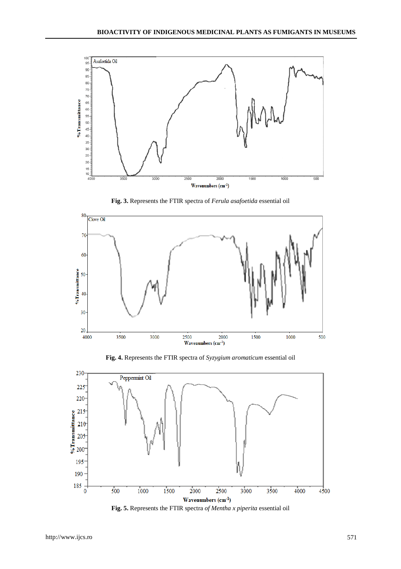

**Fig. 3.** Represents the FTIR spectra of *Ferula asafoetida* essential oil



**Fig. 4.** Represents the FTIR spectra of *Syzygium aromaticum* essential oil



**Fig. 5.** Represents the FTIR spectra *of Mentha x piperita* essential oil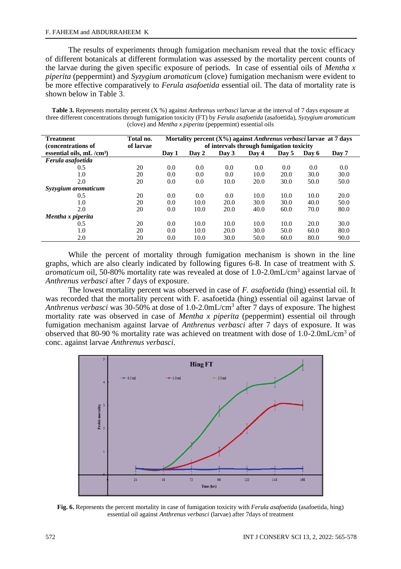The results of experiments through fumigation mechanism reveal that the toxic efficacy of different botanicals at different formulation was assessed by the mortality percent counts of the larvae during the given specific exposure of periods. In case of essential oils of *Mentha x piperita* (peppermint) and *Syzygium aromaticum* (clove) fumigation mechanism were evident to be more effective comparatively to *Ferula asafoetida* essential oil. The data of mortality rate is shown below in Table 3.

**Table 3.** Represents mortality percent (X %) against *Anthrenus verbasci* larvae at the interval of 7 days exposure at three different concentrations through fumigation toxicity (FT) by *Ferula asafoetida* (asafoetida), *Syzygium aromaticum* (clove) and *Mentha x piperita* (peppermint) essential oils

| <b>Treatment</b><br>(concentrations of | Total no.<br>of larvae | Mortality percent $(X\%)$ against <i>Anthrenus verbasci</i> larvae at 7 days<br>of intervals through fumigation toxicity |       |       |       |       |       |       |  |
|----------------------------------------|------------------------|--------------------------------------------------------------------------------------------------------------------------|-------|-------|-------|-------|-------|-------|--|
| essential oils, $mL/cm^3$              |                        | Dav 1                                                                                                                    | Day 2 | Day 3 | Dav 4 | Day 5 | Day 6 | Day 7 |  |
| Ferula asafoetida                      |                        |                                                                                                                          |       |       |       |       |       |       |  |
| 0.5                                    | 20                     | 0.0                                                                                                                      | 0.0   | 0.0   | 0.0   | 0.0   | 0.0   | 0.0   |  |
| 1.0                                    | 20                     | 0.0                                                                                                                      | 0.0   | 0.0   | 10.0  | 20.0  | 30.0  | 30.0  |  |
| 2.0                                    | 20                     | 0.0                                                                                                                      | 0.0   | 10.0  | 20.0  | 30.0  | 50.0  | 50.0  |  |
| Syzygium aromaticum                    |                        |                                                                                                                          |       |       |       |       |       |       |  |
| 0.5                                    | 20                     | 0.0                                                                                                                      | 0.0   | 0.0   | 10.0  | 10.0  | 10.0  | 20.0  |  |
| 1.0                                    | 20                     | 0.0                                                                                                                      | 10.0  | 20.0  | 30.0  | 30.0  | 40.0  | 50.0  |  |
| 2.0                                    | 20                     | 0.0                                                                                                                      | 10.0  | 20.0  | 40.0  | 60.0  | 70.0  | 80.0  |  |
| Mentha x piperita                      |                        |                                                                                                                          |       |       |       |       |       |       |  |
| 0.5                                    | 20                     | 0.0                                                                                                                      | 10.0  | 10.0  | 10.0  | 10.0  | 20.0  | 30.0  |  |
| 1.0                                    | 20                     | 0.0                                                                                                                      | 10.0  | 20.0  | 30.0  | 50.0  | 60.0  | 80.0  |  |
| 2.0                                    | 20                     | 0.0                                                                                                                      | 10.0  | 30.0  | 50.0  | 60.0  | 80.0  | 90.0  |  |

While the percent of mortality through fumigation mechanism is shown in the line graphs, which are also clearly indicated by following figures 6-8. In case of treatment with *S.*  aromaticum oil, 50-80% mortality rate was revealed at dose of 1.0-2.0mL/cm<sup>3</sup> against larvae of *Anthrenus verbasci* after 7 days of exposure.

The lowest mortality percent was observed in case of *F. asafoetida* (hing) essential oil. It was recorded that the mortality percent with F. asafoetida (hing) essential oil against larvae of Anthrenus verbasci was 30-50% at dose of 1.0-2.0mL/cm<sup>3</sup> after 7 days of exposure. The highest mortality rate was observed in case of *Mentha x piperita* (peppermint) essential oil through fumigation mechanism against larvae of *Anthrenus verbasci* after 7 days of exposure. It was observed that 80-90 % mortality rate was achieved on treatment with dose of  $1.0$ -2.0mL/cm<sup>3</sup> of conc. against larvae *Anthrenus verbasci*.



**Fig. 6.** Represents the percent mortality in case of fumigation toxicity with *Ferula asafoetida* (asafoetida, hing) essential oil against *Anthrenus verbasci* (larvae) after 7days of treatment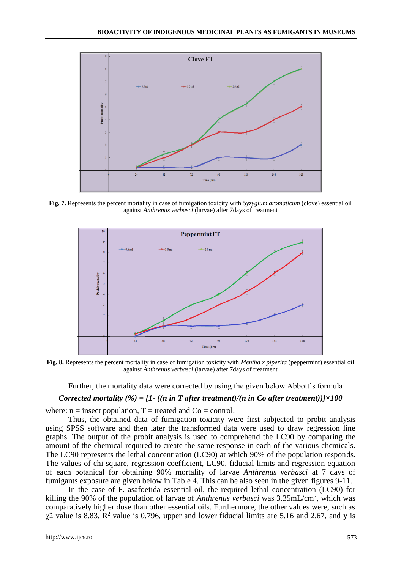

**Fig. 7.** Represents the percent mortality in case of fumigation toxicity with *Syzygium aromaticum* (clove) essential oil against *Anthrenus verbasci* (larvae) after 7days of treatment



**Fig. 8.** Represents the percent mortality in case of fumigation toxicity with *Mentha x piperita* (peppermint) essential oil against *Anthrenus verbasci* (larvae) after 7days of treatment

Further, the mortality data were corrected by using the given below Abbott's formula:

# *Corrected mortality (%) = [1- ((n in T after treatment)/(n in Co after treatment))]×100*

where:  $n =$  insect population,  $T =$  treated and  $Co =$  control.

Thus, the obtained data of fumigation toxicity were first subjected to probit analysis using SPSS software and then later the transformed data were used to draw regression line graphs. The output of the probit analysis is used to comprehend the LC90 by comparing the amount of the chemical required to create the same response in each of the various chemicals. The LC90 represents the lethal concentration (LC90) at which 90% of the population responds. The values of chi square, regression coefficient, LC90, fiducial limits and regression equation of each botanical for obtaining 90% mortality of larvae *Anthrenus verbasci* at 7 days of fumigants exposure are given below in Table 4. This can be also seen in the given figures 9-11.

In the case of F. asafoetida essential oil, the required lethal concentration (LC90) for killing the 90% of the population of larvae of *Anthrenus verbasci* was 3.35mL/cm<sup>3</sup> , which was comparatively higher dose than other essential oils. Furthermore, the other values were, such as  $\chi$ 2 value is 8.83, R<sup>2</sup> value is 0.796, upper and lower fiducial limits are 5.16 and 2.67, and y is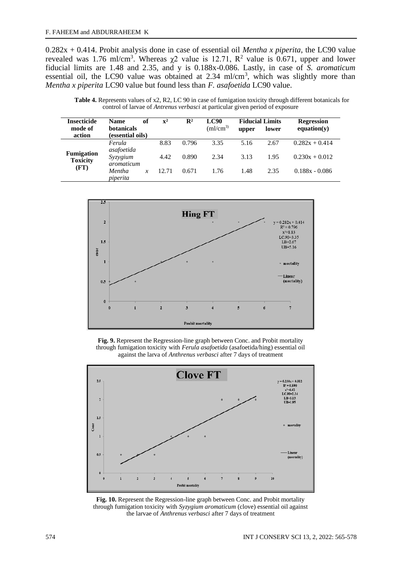0.282x + 0.414. Probit analysis done in case of essential oil *Mentha x piperita*, the LC90 value revealed was 1.76 ml/cm<sup>3</sup>. Whereas  $\chi$ 2 value is 12.71, R<sup>2</sup> value is 0.671, upper and lower fiducial limits are 1.48 and 2.35, and y is 0.188x-0.086. Lastly, in case of *S. aromaticum* essential oil, the LC90 value was obtained at  $2.34 \text{ ml/cm}^3$ , which was slightly more than *Mentha x piperita* LC90 value but found less than *F. asafoetida* LC90 value.

**Table 4.** Represents values of x2, R2, LC 90 in case of fumigation toxicity through different botanicals for control of larvae of *Antrenus verbasci* at particular given period of exposure

| <b>Insecticide</b><br>mode of<br>action | of<br><b>Name</b><br><b>botanicals</b><br>(essential oils) | $\mathbf{x}^2$ | $\mathbb{R}^2$ | <b>LC90</b><br>$\rm (ml/cm^{3})$ | upper | <b>Fiducial Limits</b><br>lower | <b>Regression</b><br>equation(y) |
|-----------------------------------------|------------------------------------------------------------|----------------|----------------|----------------------------------|-------|---------------------------------|----------------------------------|
|                                         | Ferula                                                     | 8.83           | 0.796          | 3.35                             | 5.16  | 2.67                            | $0.282x + 0.414$                 |
| <b>Fumigation</b><br><b>Toxicity</b>    | asafoetida<br>Syzygium<br>aromaticum                       | 4.42           | 0.890          | 2.34                             | 3.13  | 1.95                            | $0.230x + 0.012$                 |
| (FT)                                    | Mentha<br>piperita                                         | 12.71          | 0.671          | 1.76                             | 1.48  | 2.35                            | $0.188x - 0.086$                 |



**Fig. 9.** Represent the Regression-line graph between Conc. and Probit mortality through fumigation toxicity with *Ferula asafoetida* (asafoetida/hing) essential oil against the larva of *Anthrenus verbasci* after 7 days of treatment



**Fig. 10.** Represent the Regression-line graph between Conc. and Probit mortality through fumigation toxicity with *Syzygium aromaticum* (clove) essential oil against the larvae of *Anthrenus verbasci* after 7 days of treatment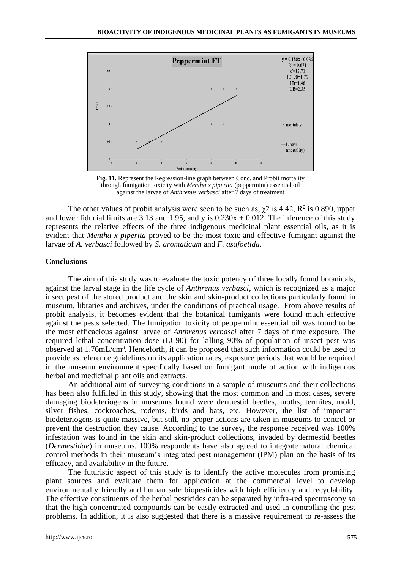

**Fig. 11.** Represent the Regression-line graph between Conc. and Probit mortality through fumigation toxicity with *Mentha x piperita* (peppermint) essential oil against the larvae of *Anthrenus verbasci* after 7 days of treatment

The other values of probit analysis were seen to be such as,  $\chi$ 2 is 4.42, R<sup>2</sup> is 0.890, upper and lower fiducial limits are 3.13 and 1.95, and y is  $0.230x + 0.012$ . The inference of this study represents the relative effects of the three indigenous medicinal plant essential oils, as it is evident that *Mentha x piperita* proved to be the most toxic and effective fumigant against the larvae of *A. verbasci* followed by *S. aromaticum* and *F. asafoetida.*

#### **Conclusions**

The aim of this study was to evaluate the toxic potency of three locally found botanicals, against the larval stage in the life cycle of *Anthrenus verbasci*, which is recognized as a major insect pest of the stored product and the skin and skin-product collections particularly found in museum, libraries and archives, under the conditions of practical usage. From above results of probit analysis, it becomes evident that the botanical fumigants were found much effective against the pests selected. The fumigation toxicity of peppermint essential oil was found to be the most efficacious against larvae of *Anthrenus verbasci* after 7 days of time exposure. The required lethal concentration dose (LC90) for killing 90% of population of insect pest was observed at 1.76mL/cm<sup>3</sup>. Henceforth, it can be proposed that such information could be used to provide as reference guidelines on its application rates, exposure periods that would be required in the museum environment specifically based on fumigant mode of action with indigenous herbal and medicinal plant oils and extracts.

An additional aim of surveying conditions in a sample of museums and their collections has been also fulfilled in this study, showing that the most common and in most cases, severe damaging biodeteriogens in museums found were dermestid beetles, moths, termites, mold, silver fishes, cockroaches, rodents, birds and bats, etc. However, the list of important biodeteriogens is quite massive, but still, no proper actions are taken in museums to control or prevent the destruction they cause. According to the survey, the response received was 100% infestation was found in the skin and skin-product collections, invaded by dermestid beetles (*Dermestidae*) in museums. 100% respondents have also agreed to integrate natural chemical control methods in their museum's integrated pest management (IPM) plan on the basis of its efficacy, and availability in the future.

The futuristic aspect of this study is to identify the active molecules from promising plant sources and evaluate them for application at the commercial level to develop environmentally friendly and human safe biopesticides with high efficiency and recyclability. The effective constituents of the herbal pesticides can be separated by infra-red spectroscopy so that the high concentrated compounds can be easily extracted and used in controlling the pest problems. In addition, it is also suggested that there is a massive requirement to re-assess the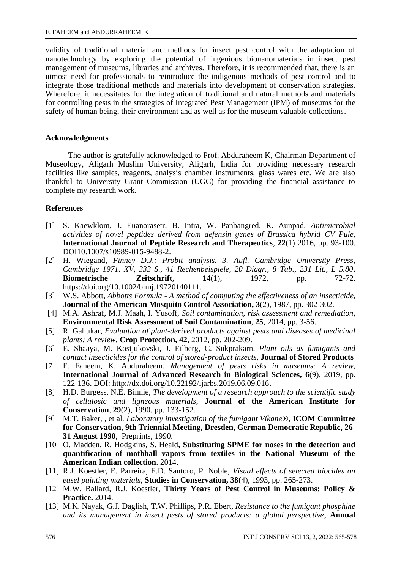validity of traditional material and methods for insect pest control with the adaptation of nanotechnology by exploring the potential of ingenious bionanomaterials in insect pest management of museums, libraries and archives. Therefore, it is recommended that, there is an utmost need for professionals to reintroduce the indigenous methods of pest control and to integrate those traditional methods and materials into development of conservation strategies. Wherefore, it necessitates for the integration of traditional and natural methods and materials for controlling pests in the strategies of Integrated Pest Management (IPM) of museums for the safety of human being, their environment and as well as for the museum valuable collections.

### **Acknowledgments**

The author is gratefully acknowledged to Prof. Abduraheem K, Chairman Department of Museology, Aligarh Muslim University, Aligarh, India for providing necessary research facilities like samples, reagents, analysis chamber instruments, glass wares etc. We are also thankful to University Grant Commission (UGC) for providing the financial assistance to complete my research work.

### **References**

- [1] S. Kaewklom, J. Euanorasetr, B. Intra, W. Panbangred, R. Aunpad, *Antimicrobial activities of novel peptides derived from defensin genes of Brassica hybrid CV Pule*, **International Journal of Peptide Research and Therapeutics**, **22**(1) 2016, pp. 93-100. DOI10.1007/s10989-015-9488-2.
- [2] H. Wiegand, *Finney D.J.: Probit analysis. 3. Aufl. Cambridge University Press, Cambridge 1971. XV, 333 S., 41 Rechenbeispiele, 20 Diagr., 8 Tab., 231 Lit., L 5.80*. **Biometrische Zeitschrift, 14**(1), 1972, pp. 72-72. https://doi.org/10.1002/bimj.19720140111.
- [3] W.S. Abbott, *Abbotts Formula - A method of computing the effectiveness of an insecticide,* **Journal of the American Mosquito Control Association, 3**(2), 1987, pp. 302-302.
- [4] M.A. Ashraf, M.J. Maah, I. Yusoff, *Soil contamination, risk assessment and remediation*, **Environmental Risk Assessment of Soil Contamination**, **25**, 2014, pp. 3-56.
- [5] R. Gahukar, *Evaluation of plant-derived products against pests and diseases of medicinal plants: A review*, **Crop Protection, 42**, 2012, pp. 202-209.
- [6] E. Shaaya, M. Kostjukovski, J. Eilberg, C. Sukprakarn, *Plant oils as fumigants and contact insecticides for the control of stored-product insects,* **Journal of Stored Products**
- [7] F. Faheem, K. Abduraheem, *Management of pests risks in museums: A review,* **International Journal of Advanced Research in Biological Sciences, 6**(9), 2019, pp. 122-136. DOI: http://dx.doi.org/10.22192/ijarbs.2019.06.09.016.
- [8] H.D. Burgess, N.E. Binnie, *The development of a research approach to the scientific study of cellulosic and ligneous materials*, **Journal of the American Institute for Conservation**, **29**(2), 1990, pp. 133-152.
- [9] M.T. Baker, , et al. *Laboratory investigation of the fumigant Vikane®,* **ICOM Committee for Conservation, 9th Triennial Meeting, Dresden, German Democratic Republic, 26- 31 August 1990**, Preprints, 1990.
- [10] O. Madden, R. Hodgkins, S. Heald**, Substituting SPME for noses in the detection and quantification of mothball vapors from textiles in the National Museum of the American Indian collection**. 2014.
- [11] R.J. Koestler, E. Parreira, E.D. Santoro, P. Noble, *Visual effects of selected biocides on easel painting materials,* **Studies in Conservation, 38**(4), 1993, pp. 265-273.
- [12] M.W. Ballard, R.J. Koestler, **Thirty Years of Pest Control in Museums: Policy & Practice.** 2014.
- [13] M.K. Nayak, G.J. Daglish, T.W. Phillips, P.R. Ebert, *Resistance to the fumigant phosphine and its management in insect pests of stored products: a global perspective*, **Annual**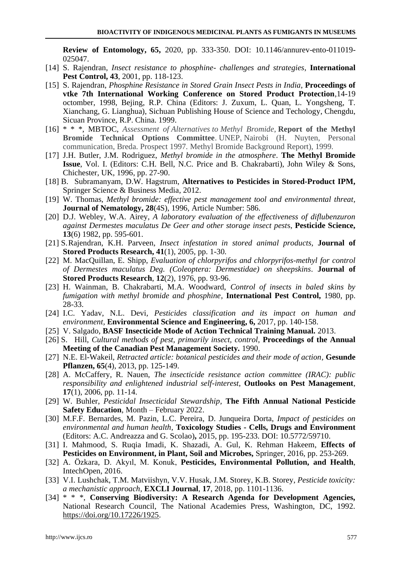**Review of Entomology, 65,** 2020, pp. 333-350. DOI: 10.1146/annurev-ento-011019- 025047.

- [14] S. Rajendran, *Insect resistance to phosphine- challenges and strategies*, **International Pest Control, 43**, 2001, pp. 118-123.
- [15] S. Rajendran, *Phosphine Resistance in Stored Grain Insect Pests in India,* **Proceedings of vtke 7th International Working Conference on Stored Product Protection**,14-19 octomber, 1998, Bejing, R.P. China (Editors: J. Zuxum, L. Quan, L. Yongsheng, T. Xianchang, G. Lianghua), Sichuan Publishing House of Science and Techology, Chengdu, Sicuan Province, R.P. China. 1999.
- [16] \* \* \*, MBTOC, *Assessment of Alternatives to Methyl Bromide*, **Report of the Methyl Bromide Technical Options Committee**. UNEP, Nairobi (H. Nuyten, Personal communication, Breda. Prospect 1997. Methyl Bromide Background Report), 1999.
- [17] J.H. Butler, J.M. Rodriguez, *Methyl bromide in the atmosphere*. **The Methyl Bromide Issue**, Vol. I. (Editors: C.H. Bell, N.C. Price and B. Chakrabarti), John Wiley & Sons, Chichester, UK, 1996, pp. 27-90.
- [18] B. Subramanyam, D.W. Hagstrum, **Alternatives to Pesticides in Stored-Product IPM,** Springer Science & Business Media, 2012.
- [19] W. Thomas, *Methyl bromide: effective pest management tool and environmental threat,* **Journal of Nematology, 28**(4S), 1996, Article Number: 586.
- [20] D.J. Webley, W.A. Airey, *A laboratory evaluation of the effectiveness of diflubenzuron against Dermestes maculatus De Geer and other storage insect pest*s, **Pesticide Science, 13**(6) 1982, pp. 595-601.
- [21] S.Rajendran, K.H. Parveen, *Insect infestation in stored animal products,* **Journal of Stored Products Research, 41**(1), 2005, pp. 1-30.
- [22] M. MacQuillan, E. Shipp, *Evaluation of chlorpyrifos and chlorpyrifos-methyl for control of Dermestes maculatus Deg. (Coleoptera: Dermestidae) on sheepskins*. **Journal of Stored Products Research**, **12**(2), 1976, pp. 93-96.
- [23] H. Wainman, B. Chakrabarti, M.A. Woodward, *Control of insects in baled skins by fumigation with methyl bromide and phosphine,* **International Pest Control,** 1980, pp. 28-33.
- [24] I.C. Yadav, N.L. Devi*, Pesticides classification and its impact on human and environment,* **Environmental Science and Engineering, 6,** 2017, pp. 140-158.
- [25] V. Salgado, **BASF Insecticide Mode of Action Technical Training Manual.** 2013.
- [26] S. Hill, *Cultural methods of pest, primarily insect, control*, **Proceedings of the Annual Meeting of the Canadian Pest Management Society.** 1990.
- [27] N.E. El-Wakeil, *Retracted article: botanical pesticides and their mode of action,* **Gesunde Pflanzen, 65**(4), 2013, pp. 125-149.
- [28] A. McCaffery, R. Nauen, *The insecticide resistance action committee (IRAC): public responsibility and enlightened industrial self-interest*, **Outlooks on Pest Management**, **17**(1), 2006, pp. 11-14.
- [29] W. Buhler, *Pesticidal Insecticidal Stewardship,* **The Fifth Annual National Pesticide Safety Education**, Month – February 2022.
- [30] M.F.F. Bernardes, M. Pazin, L.C. Pereira, D. Junqueira Dorta, *Impact of pesticides on environmental and human health,* **Toxicology Studies - Cells, Drugs and Environment** (Editors: A.C. Andreazza and G. Scolao)**,** 2015, pp. 195-233. DOI: 10.5772/59710.
- [31] I. Mahmood, S. Ruqia Imadi, K. Shazadi, A. Gul, K. Rehman Hakeem, **Effects of Pesticides on Environment, in Plant, Soil and Microbes,** Springer, 2016, pp. 253-269.
- [32] A. Özkara, D. Akyıl, M. Konuk, **Pesticides, Environmental Pollution, and Health**, IntechOpen, 2016.
- [33] V.I. Lushchak, T.M. Matviishyn, V.V. Husak, J.M. Storey, K.B. Storey, *Pesticide toxicity: a mechanistic approach*, **EXCLI Journal**, **17**, 2018, pp. 1101-1136.
- [34] \* \* \*, **Conserving Biodiversity: A Research Agenda for Development Agencies,** National Research Council, The National Academies Press, Washington, DC, 1992. [https://doi.org/10.17226/1925.](https://doi.org/10.17226/1925)